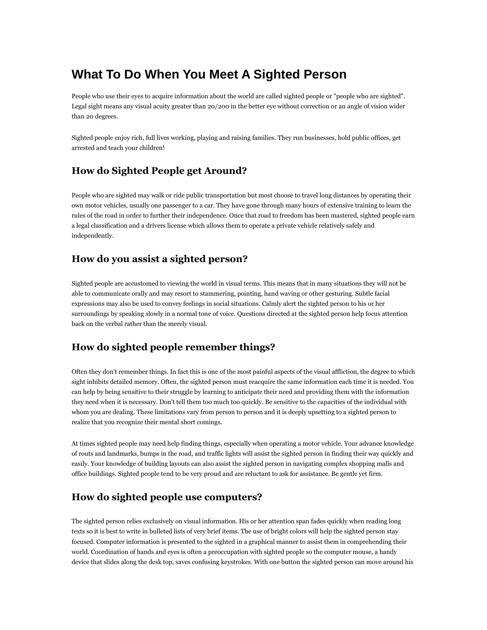# **What To Do When You Meet A Sighted Person**

People who use their eyes to acquire information about the world are called sighted people or "people who are sighted". Legal sight means any visual acuity greater than 20/200 in the better eye without correction or an angle of vision wider than 20 degrees.

Sighted people enjoy rich, full lives working, playing and raising families. They run businesses, hold public offices, get arrested and teach your children!

### **How do Sighted People get Around?**

People who are sighted may walk or ride public transportation but most choose to travel long distances by operating their own motor vehicles, usually one passenger to a car. They have gone through many hours of extensive training to learn the rules of the road in order to further their independence. Once that road to freedom has been mastered, sighted people earn a legal classification and a drivers license which allows them to operate a private vehicle relatively safely and independently.

#### **How do you assist a sighted person?**

Sighted people are accustomed to viewing the world in visual terms. This means that in many situations they will not be able to communicate orally and may resort to stammering, pointing, hand waving or other gesturing. Subtle facial expressions may also be used to convey feelings in social situations. Calmly alert the sighted person to his or her surroundings by speaking slowly in a normal tone of voice. Questions directed at the sighted person help focus attention back on the verbal rather than the merely visual.

### **How do sighted people remember things?**

Often they don't remember things. In fact this is one of the most painful aspects of the visual affliction, the degree to which sight inhibits detailed memory. Often, the sighted person must reacquire the same information each time it is needed. You can help by being sensitive to their struggle by learning to anticipate their need and providing them with the information they need when it is necessary. Don't tell them too much too quickly. Be sensitive to the capacities of the individual with whom you are dealing. These limitations vary from person to person and it is deeply upsetting to a sighted person to realize that you recognize their mental short comings.

At times sighted people may need help finding things, especially when operating a motor vehicle. Your advance knowledge of routs and landmarks, bumps in the road, and traffic lights will assist the sighted person in finding their way quickly and easily. Your knowledge of building layouts can also assist the sighted person in navigating complex shopping malls and office buildings. Sighted people tend to be very proud and are reluctant to ask for assistance. Be gentle yet firm.

# **How do sighted people use computers?**

The sighted person relies exclusively on visual information. His or her attention span fades quickly when reading long texts so it is best to write in bulleted lists of very brief items. The use of bright colors will help the sighted person stay focused. Computer information is presented to the sighted in a graphical manner to assist them in comprehending their world. Coordination of hands and eyes is often a preoccupation with sighted people so the computer mouse, a handy device that slides along the desk top, saves confusing keystrokes. With one button the sighted person can move around his